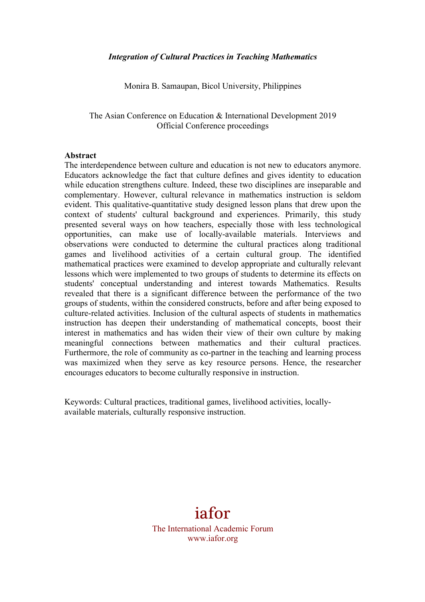#### *Integration of Cultural Practices in Teaching Mathematics*

Monira B. Samaupan, Bicol University, Philippines

The Asian Conference on Education & International Development 2019 Official Conference proceedings

#### **Abstract**

The interdependence between culture and education is not new to educators anymore. Educators acknowledge the fact that culture defines and gives identity to education while education strengthens culture. Indeed, these two disciplines are inseparable and complementary. However, cultural relevance in mathematics instruction is seldom evident. This qualitative-quantitative study designed lesson plans that drew upon the context of students' cultural background and experiences. Primarily, this study presented several ways on how teachers, especially those with less technological opportunities, can make use of locally-available materials. Interviews and observations were conducted to determine the cultural practices along traditional games and livelihood activities of a certain cultural group. The identified mathematical practices were examined to develop appropriate and culturally relevant lessons which were implemented to two groups of students to determine its effects on students' conceptual understanding and interest towards Mathematics. Results revealed that there is a significant difference between the performance of the two groups of students, within the considered constructs, before and after being exposed to culture-related activities. Inclusion of the cultural aspects of students in mathematics instruction has deepen their understanding of mathematical concepts, boost their interest in mathematics and has widen their view of their own culture by making meaningful connections between mathematics and their cultural practices. Furthermore, the role of community as co-partner in the teaching and learning process was maximized when they serve as key resource persons. Hence, the researcher encourages educators to become culturally responsive in instruction.

Keywords: Cultural practices, traditional games, livelihood activities, locallyavailable materials, culturally responsive instruction.

# iafor The International Academic Forum

www.iafor.org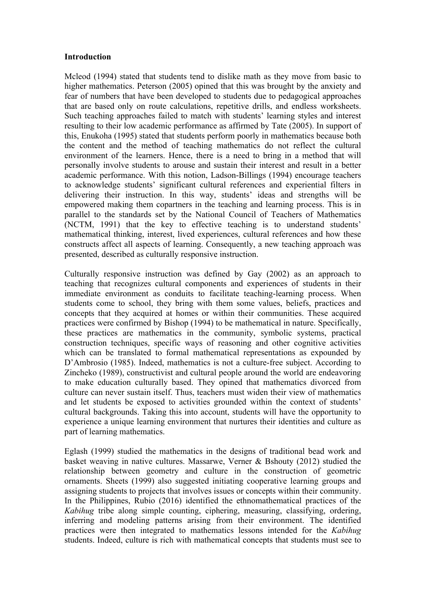#### **Introduction**

Mcleod (1994) stated that students tend to dislike math as they move from basic to higher mathematics. Peterson (2005) opined that this was brought by the anxiety and fear of numbers that have been developed to students due to pedagogical approaches that are based only on route calculations, repetitive drills, and endless worksheets. Such teaching approaches failed to match with students' learning styles and interest resulting to their low academic performance as affirmed by Tate (2005). In support of this, Enukoha (1995) stated that students perform poorly in mathematics because both the content and the method of teaching mathematics do not reflect the cultural environment of the learners. Hence, there is a need to bring in a method that will personally involve students to arouse and sustain their interest and result in a better academic performance. With this notion, Ladson-Billings (1994) encourage teachers to acknowledge students' significant cultural references and experiential filters in delivering their instruction. In this way, students' ideas and strengths will be empowered making them copartners in the teaching and learning process. This is in parallel to the standards set by the National Council of Teachers of Mathematics (NCTM, 1991) that the key to effective teaching is to understand students' mathematical thinking, interest, lived experiences, cultural references and how these constructs affect all aspects of learning. Consequently, a new teaching approach was presented, described as culturally responsive instruction.

Culturally responsive instruction was defined by Gay (2002) as an approach to teaching that recognizes cultural components and experiences of students in their immediate environment as conduits to facilitate teaching-learning process. When students come to school, they bring with them some values, beliefs, practices and concepts that they acquired at homes or within their communities. These acquired practices were confirmed by Bishop (1994) to be mathematical in nature. Specifically, these practices are mathematics in the community, symbolic systems, practical construction techniques, specific ways of reasoning and other cognitive activities which can be translated to formal mathematical representations as expounded by D'Ambrosio (1985). Indeed, mathematics is not a culture-free subject. According to Zincheko (1989), constructivist and cultural people around the world are endeavoring to make education culturally based. They opined that mathematics divorced from culture can never sustain itself. Thus, teachers must widen their view of mathematics and let students be exposed to activities grounded within the context of students' cultural backgrounds. Taking this into account, students will have the opportunity to experience a unique learning environment that nurtures their identities and culture as part of learning mathematics.

Eglash (1999) studied the mathematics in the designs of traditional bead work and basket weaving in native cultures. Massarwe, Verner & Bshouty (2012) studied the relationship between geometry and culture in the construction of geometric ornaments. Sheets (1999) also suggested initiating cooperative learning groups and assigning students to projects that involves issues or concepts within their community. In the Philippines, Rubio (2016) identified the ethnomathematical practices of the *Kabihug* tribe along simple counting, ciphering, measuring, classifying, ordering, inferring and modeling patterns arising from their environment. The identified practices were then integrated to mathematics lessons intended for the *Kabihug* students. Indeed, culture is rich with mathematical concepts that students must see to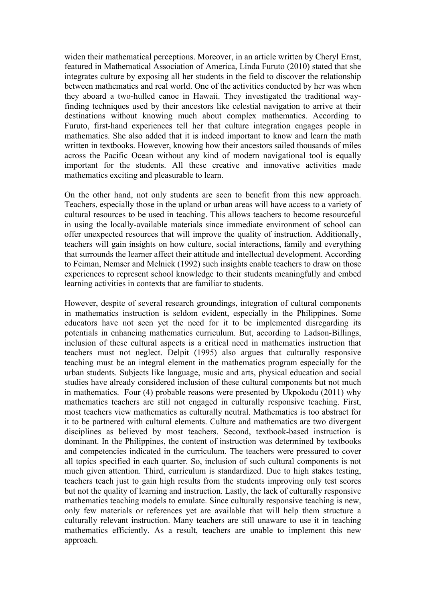widen their mathematical perceptions. Moreover, in an article written by Cheryl Ernst, featured in Mathematical Association of America, Linda Furuto (2010) stated that she integrates culture by exposing all her students in the field to discover the relationship between mathematics and real world. One of the activities conducted by her was when they aboard a two-hulled canoe in Hawaii. They investigated the traditional wayfinding techniques used by their ancestors like celestial navigation to arrive at their destinations without knowing much about complex mathematics. According to Furuto, first-hand experiences tell her that culture integration engages people in mathematics. She also added that it is indeed important to know and learn the math written in textbooks. However, knowing how their ancestors sailed thousands of miles across the Pacific Ocean without any kind of modern navigational tool is equally important for the students. All these creative and innovative activities made mathematics exciting and pleasurable to learn.

On the other hand, not only students are seen to benefit from this new approach. Teachers, especially those in the upland or urban areas will have access to a variety of cultural resources to be used in teaching. This allows teachers to become resourceful in using the locally-available materials since immediate environment of school can offer unexpected resources that will improve the quality of instruction. Additionally, teachers will gain insights on how culture, social interactions, family and everything that surrounds the learner affect their attitude and intellectual development. According to Feiman, Nemser and Melnick (1992) such insights enable teachers to draw on those experiences to represent school knowledge to their students meaningfully and embed learning activities in contexts that are familiar to students.

However, despite of several research groundings, integration of cultural components in mathematics instruction is seldom evident, especially in the Philippines. Some educators have not seen yet the need for it to be implemented disregarding its potentials in enhancing mathematics curriculum. But, according to Ladson-Billings, inclusion of these cultural aspects is a critical need in mathematics instruction that teachers must not neglect. Delpit (1995) also argues that culturally responsive teaching must be an integral element in the mathematics program especially for the urban students. Subjects like language, music and arts, physical education and social studies have already considered inclusion of these cultural components but not much in mathematics. Four (4) probable reasons were presented by Ukpokodu (2011) why mathematics teachers are still not engaged in culturally responsive teaching. First, most teachers view mathematics as culturally neutral. Mathematics is too abstract for it to be partnered with cultural elements. Culture and mathematics are two divergent disciplines as believed by most teachers. Second, textbook-based instruction is dominant. In the Philippines, the content of instruction was determined by textbooks and competencies indicated in the curriculum. The teachers were pressured to cover all topics specified in each quarter. So, inclusion of such cultural components is not much given attention. Third, curriculum is standardized. Due to high stakes testing, teachers teach just to gain high results from the students improving only test scores but not the quality of learning and instruction. Lastly, the lack of culturally responsive mathematics teaching models to emulate. Since culturally responsive teaching is new, only few materials or references yet are available that will help them structure a culturally relevant instruction. Many teachers are still unaware to use it in teaching mathematics efficiently. As a result, teachers are unable to implement this new approach.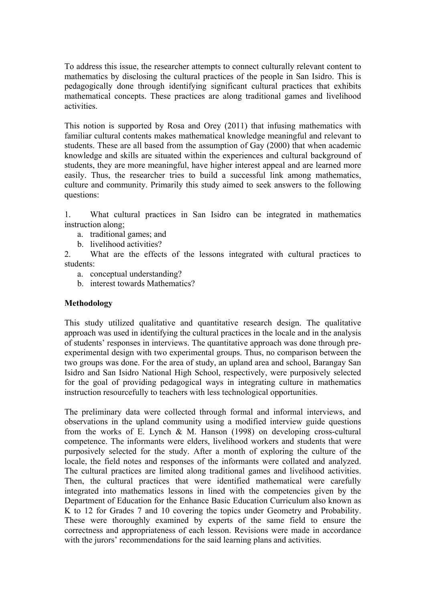To address this issue, the researcher attempts to connect culturally relevant content to mathematics by disclosing the cultural practices of the people in San Isidro. This is pedagogically done through identifying significant cultural practices that exhibits mathematical concepts. These practices are along traditional games and livelihood activities.

This notion is supported by Rosa and Orey (2011) that infusing mathematics with familiar cultural contents makes mathematical knowledge meaningful and relevant to students. These are all based from the assumption of Gay (2000) that when academic knowledge and skills are situated within the experiences and cultural background of students, they are more meaningful, have higher interest appeal and are learned more easily. Thus, the researcher tries to build a successful link among mathematics, culture and community. Primarily this study aimed to seek answers to the following questions:

1. What cultural practices in San Isidro can be integrated in mathematics instruction along;

- a. traditional games; and
- b. livelihood activities?

2. What are the effects of the lessons integrated with cultural practices to students:

- a. conceptual understanding?
- b. interest towards Mathematics?

#### **Methodology**

This study utilized qualitative and quantitative research design. The qualitative approach was used in identifying the cultural practices in the locale and in the analysis of students' responses in interviews. The quantitative approach was done through preexperimental design with two experimental groups. Thus, no comparison between the two groups was done. For the area of study, an upland area and school, Barangay San Isidro and San Isidro National High School, respectively, were purposively selected for the goal of providing pedagogical ways in integrating culture in mathematics instruction resourcefully to teachers with less technological opportunities.

The preliminary data were collected through formal and informal interviews, and observations in the upland community using a modified interview guide questions from the works of E. Lynch  $\&$  M. Hanson (1998) on developing cross-cultural competence. The informants were elders, livelihood workers and students that were purposively selected for the study. After a month of exploring the culture of the locale, the field notes and responses of the informants were collated and analyzed. The cultural practices are limited along traditional games and livelihood activities. Then, the cultural practices that were identified mathematical were carefully integrated into mathematics lessons in lined with the competencies given by the Department of Education for the Enhance Basic Education Curriculum also known as K to 12 for Grades 7 and 10 covering the topics under Geometry and Probability. These were thoroughly examined by experts of the same field to ensure the correctness and appropriateness of each lesson. Revisions were made in accordance with the jurors' recommendations for the said learning plans and activities.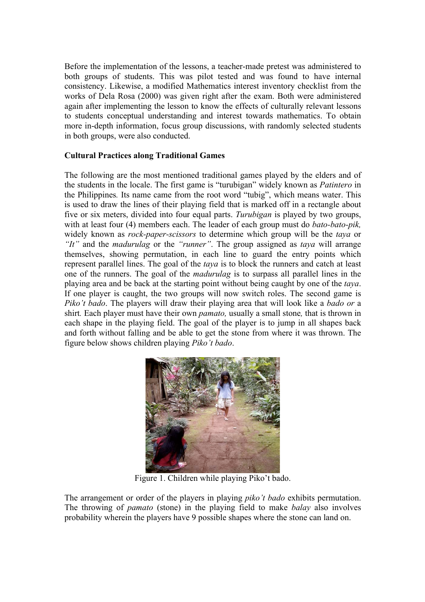Before the implementation of the lessons, a teacher-made pretest was administered to both groups of students. This was pilot tested and was found to have internal consistency. Likewise, a modified Mathematics interest inventory checklist from the works of Dela Rosa (2000) was given right after the exam. Both were administered again after implementing the lesson to know the effects of culturally relevant lessons to students conceptual understanding and interest towards mathematics. To obtain more in-depth information, focus group discussions, with randomly selected students in both groups, were also conducted.

## **Cultural Practices along Traditional Games**

The following are the most mentioned traditional games played by the elders and of the students in the locale. The first game is "turubigan" widely known as *Patintero* in the Philippines*.* Its name came from the root word "tubig", which means water. This is used to draw the lines of their playing field that is marked off in a rectangle about five or six meters, divided into four equal parts. *Turubigan* is played by two groups, with at least four (4) members each. The leader of each group must do *bato-bato-pik,*  widely known as *rock-paper-scissors* to determine which group will be the *taya* or *"It"* and the *madurulag* or the *"runner"*. The group assigned as *taya* will arrange themselves, showing permutation, in each line to guard the entry points which represent parallel lines. The goal of the *taya* is to block the runners and catch at least one of the runners. The goal of the *madurulag* is to surpass all parallel lines in the playing area and be back at the starting point without being caught by one of the *taya*. If one player is caught, the two groups will now switch roles. The second game is *Piko't bado*. The players will draw their playing area that will look like a *bado or* a shirt*.* Each player must have their own *pamato,* usually a small stone*,* that is thrown in each shape in the playing field. The goal of the player is to jump in all shapes back and forth without falling and be able to get the stone from where it was thrown. The figure below shows children playing *Piko't bado*.



Figure 1. Children while playing Piko't bado.

The arrangement or order of the players in playing *piko't bado* exhibits permutation. The throwing of *pamato* (stone) in the playing field to make *balay* also involves probability wherein the players have 9 possible shapes where the stone can land on.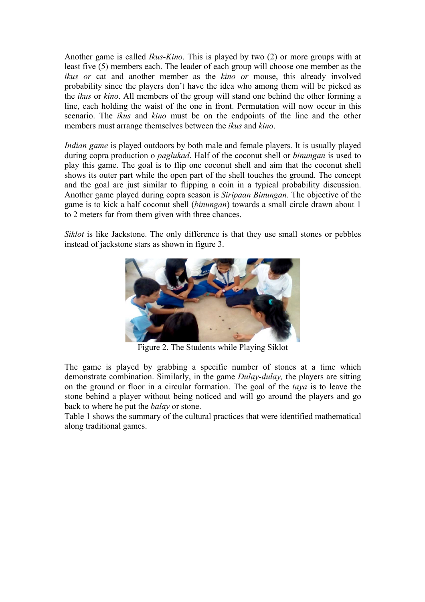Another game is called *Ikus-Kino*. This is played by two (2) or more groups with at least five (5) members each. The leader of each group will choose one member as the *ikus or* cat and another member as the *kino or* mouse, this already involved probability since the players don't have the idea who among them will be picked as the *ikus* or *kino*. All members of the group will stand one behind the other forming a line, each holding the waist of the one in front. Permutation will now occur in this scenario. The *ikus* and *kino* must be on the endpoints of the line and the other members must arrange themselves between the *ikus* and *kino*.

*Indian game* is played outdoors by both male and female players. It is usually played during copra production o *paglukad*. Half of the coconut shell or *binungan* is used to play this game. The goal is to flip one coconut shell and aim that the coconut shell shows its outer part while the open part of the shell touches the ground. The concept and the goal are just similar to flipping a coin in a typical probability discussion. Another game played during copra season is *Siripaan Binungan*. The objective of the game is to kick a half coconut shell (*binungan*) towards a small circle drawn about 1 to 2 meters far from them given with three chances.

*Siklot* is like Jackstone. The only difference is that they use small stones or pebbles instead of jackstone stars as shown in figure 3.



Figure 2. The Students while Playing Siklot

The game is played by grabbing a specific number of stones at a time which demonstrate combination. Similarly, in the game *Dulay-dulay,* the players are sitting on the ground or floor in a circular formation. The goal of the *taya* is to leave the stone behind a player without being noticed and will go around the players and go back to where he put the *balay* or stone.

Table 1 shows the summary of the cultural practices that were identified mathematical along traditional games.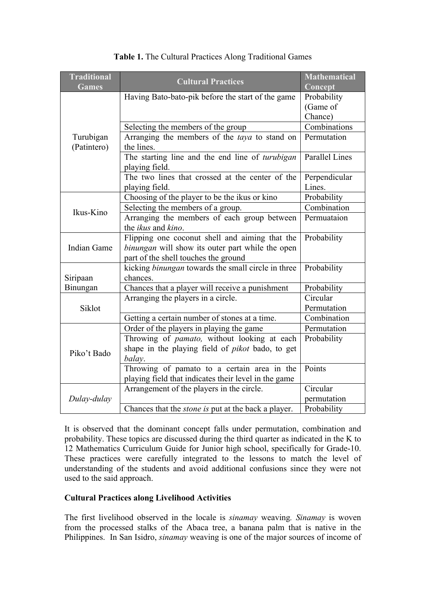| <b>Traditional</b><br><b>Games</b> | <b>Cultural Practices</b>                                         | <b>Mathematical</b><br>Concept |
|------------------------------------|-------------------------------------------------------------------|--------------------------------|
|                                    | Having Bato-bato-pik before the start of the game                 | Probability                    |
|                                    |                                                                   | (Game of                       |
|                                    |                                                                   | Chance)                        |
|                                    | Selecting the members of the group                                | Combinations                   |
| Turubigan                          | Arranging the members of the taya to stand on                     | Permutation                    |
| (Patintero)                        | the lines.                                                        |                                |
|                                    | The starting line and the end line of turubigan<br>playing field. | Parallel Lines                 |
|                                    | The two lines that crossed at the center of the                   | Perpendicular                  |
|                                    | playing field.                                                    | Lines.                         |
|                                    | Choosing of the player to be the ikus or kino                     | Probability                    |
| Ikus-Kino                          | Selecting the members of a group.                                 | Combination                    |
|                                    | Arranging the members of each group between                       | Permuataion                    |
|                                    | the ikus and kino.                                                |                                |
|                                    | Flipping one coconut shell and aiming that the                    | Probability                    |
| <b>Indian Game</b>                 | binungan will show its outer part while the open                  |                                |
|                                    | part of the shell touches the ground                              |                                |
|                                    | kicking binungan towards the small circle in three                | Probability                    |
| Siripaan                           | chances.                                                          |                                |
| Binungan                           | Chances that a player will receive a punishment                   | Probability                    |
|                                    | Arranging the players in a circle.                                | Circular                       |
| Siklot                             |                                                                   | Permutation                    |
|                                    | Getting a certain number of stones at a time.                     | Combination                    |
|                                    | Order of the players in playing the game                          | Permutation                    |
| Piko't Bado                        | Throwing of <i>pamato</i> , without looking at each               | Probability                    |
|                                    | shape in the playing field of <i>pikot</i> bado, to get           |                                |
|                                    | balay.                                                            |                                |
|                                    | Throwing of pamato to a certain area in the                       | Points                         |
|                                    | playing field that indicates their level in the game              |                                |
|                                    | Arrangement of the players in the circle.                         | Circular                       |
| Dulay-dulay                        |                                                                   | permutation                    |
|                                    | Chances that the <i>stone</i> is put at the back a player.        | Probability                    |

## **Table 1.** The Cultural Practices Along Traditional Games

It is observed that the dominant concept falls under permutation, combination and probability. These topics are discussed during the third quarter as indicated in the K to 12 Mathematics Curriculum Guide for Junior high school, specifically for Grade-10. These practices were carefully integrated to the lessons to match the level of understanding of the students and avoid additional confusions since they were not used to the said approach.

## **Cultural Practices along Livelihood Activities**

The first livelihood observed in the locale is *sinamay* weaving*. Sinamay* is woven from the processed stalks of the Abaca tree, a banana palm that is native in the Philippines. In San Isidro, *sinamay* weaving is one of the major sources of income of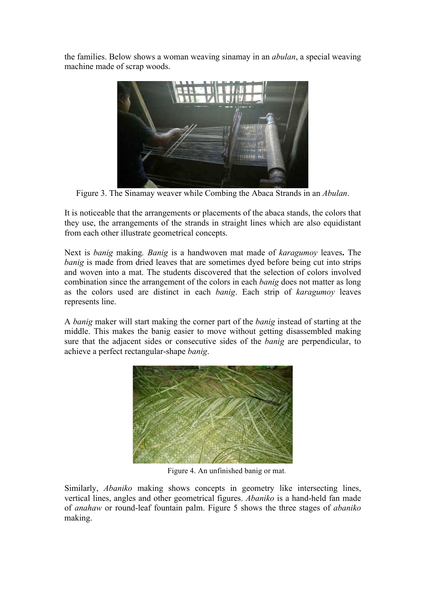the families. Below shows a woman weaving sinamay in an *abulan*, a special weaving machine made of scrap woods.



Figure 3. The Sinamay weaver while Combing the Abaca Strands in an *Abulan*.

It is noticeable that the arrangements or placements of the abaca stands, the colors that they use, the arrangements of the strands in straight lines which are also equidistant from each other illustrate geometrical concepts.

Next is *banig* making*. Banig* is a handwoven mat made of *karagumoy* leaves**.** The *banig* is made from dried leaves that are sometimes dyed before being cut into strips and woven into a mat. The students discovered that the selection of colors involved combination since the arrangement of the colors in each *banig* does not matter as long as the colors used are distinct in each *banig*. Each strip of *karagumoy* leaves represents line.

A *banig* maker will start making the corner part of the *banig* instead of starting at the middle. This makes the banig easier to move without getting disassembled making sure that the adjacent sides or consecutive sides of the *banig* are perpendicular, to achieve a perfect rectangular-shape *banig*.



Figure 4. An unfinished banig or mat.

Similarly, *Abaniko* making shows concepts in geometry like intersecting lines, vertical lines, angles and other geometrical figures. *Abaniko* is a hand-held fan made of *anahaw* or round-leaf fountain palm. Figure 5 shows the three stages of *abaniko* making.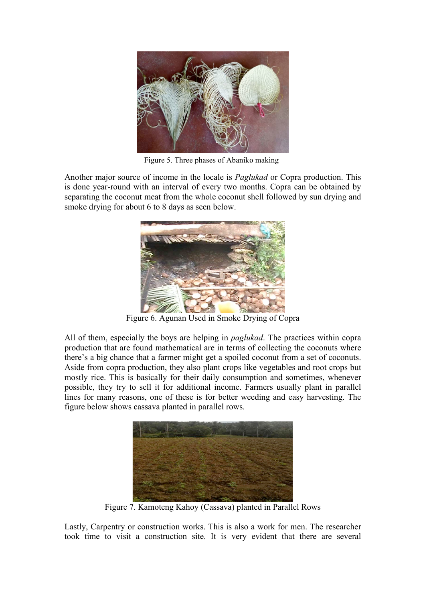

Figure 5. Three phases of Abaniko making

Another major source of income in the locale is *Paglukad* or Copra production. This is done year-round with an interval of every two months. Copra can be obtained by separating the coconut meat from the whole coconut shell followed by sun drying and smoke drying for about 6 to 8 days as seen below.



Figure 6. Agunan Used in Smoke Drying of Copra

All of them, especially the boys are helping in *paglukad*. The practices within copra production that are found mathematical are in terms of collecting the coconuts where there's a big chance that a farmer might get a spoiled coconut from a set of coconuts. Aside from copra production, they also plant crops like vegetables and root crops but mostly rice. This is basically for their daily consumption and sometimes, whenever possible, they try to sell it for additional income. Farmers usually plant in parallel lines for many reasons, one of these is for better weeding and easy harvesting. The figure below shows cassava planted in parallel rows.



Figure 7. Kamoteng Kahoy (Cassava) planted in Parallel Rows

Lastly, Carpentry or construction works. This is also a work for men. The researcher took time to visit a construction site. It is very evident that there are several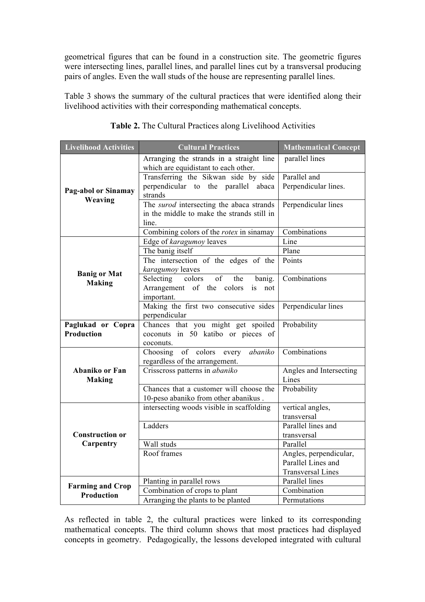geometrical figures that can be found in a construction site. The geometric figures were intersecting lines, parallel lines, and parallel lines cut by a transversal producing pairs of angles. Even the wall studs of the house are representing parallel lines.

Table 3 shows the summary of the cultural practices that were identified along their livelihood activities with their corresponding mathematical concepts.

| <b>Livelihood Activities</b>           | <b>Cultural Practices</b>                                                                   | <b>Mathematical Concept</b>      |  |  |
|----------------------------------------|---------------------------------------------------------------------------------------------|----------------------------------|--|--|
|                                        | Arranging the strands in a straight line<br>which are equidistant to each other.            | parallel lines                   |  |  |
|                                        | Transferring the Sikwan side by side                                                        | Parallel and                     |  |  |
| Pag-abol or Sinamay<br>Weaving         | perpendicular to the parallel abaca<br>strands                                              | Perpendicular lines.             |  |  |
|                                        | The surod intersecting the abaca strands                                                    | Perpendicular lines              |  |  |
|                                        | in the middle to make the strands still in<br>line.                                         |                                  |  |  |
|                                        | Combining colors of the rotex in sinamay                                                    | Combinations                     |  |  |
|                                        | Edge of karagumoy leaves                                                                    | Line                             |  |  |
|                                        | The banig itself                                                                            | Plane                            |  |  |
| <b>Banig or Mat</b>                    | The intersection of the edges of the<br>karagumoy leaves                                    | Points                           |  |  |
| <b>Making</b>                          | Selecting<br>colors<br>of<br>the<br>banig.<br>Arrangement of the colors<br><i>is</i><br>not | Combinations                     |  |  |
|                                        | important.                                                                                  |                                  |  |  |
|                                        | Making the first two consecutive sides                                                      | Perpendicular lines              |  |  |
|                                        | perpendicular                                                                               |                                  |  |  |
| Paglukad or Copra<br><b>Production</b> | Chances that you might get spoiled<br>coconuts in 50 katibo or pieces of                    | Probability                      |  |  |
|                                        | coconuts.                                                                                   |                                  |  |  |
|                                        | Choosing of colors<br>abaniko<br>every                                                      | Combinations                     |  |  |
|                                        | regardless of the arrangement.                                                              |                                  |  |  |
| Abaniko or Fan<br><b>Making</b>        | Crisscross patterns in abaniko                                                              | Angles and Intersecting<br>Lines |  |  |
|                                        | Chances that a customer will choose the                                                     | Probability                      |  |  |
|                                        | 10-peso abaniko from other abanikus.                                                        |                                  |  |  |
|                                        | intersecting woods visible in scaffolding                                                   | vertical angles,<br>transversal  |  |  |
|                                        | Ladders                                                                                     | Parallel lines and               |  |  |
| <b>Construction or</b>                 |                                                                                             | transversal                      |  |  |
| Carpentry                              | Wall studs                                                                                  | Parallel                         |  |  |
|                                        | Roof frames                                                                                 | Angles, perpendicular,           |  |  |
|                                        |                                                                                             | Parallel Lines and               |  |  |
|                                        |                                                                                             | <b>Transversal Lines</b>         |  |  |
| <b>Farming and Crop</b>                | Planting in parallel rows<br>Combination of crops to plant                                  | Parallel lines                   |  |  |
| <b>Production</b>                      | Arranging the plants to be planted                                                          | Combination<br>Permutations      |  |  |

#### **Table 2.** The Cultural Practices along Livelihood Activities

As reflected in table 2, the cultural practices were linked to its corresponding mathematical concepts. The third column shows that most practices had displayed concepts in geometry. Pedagogically, the lessons developed integrated with cultural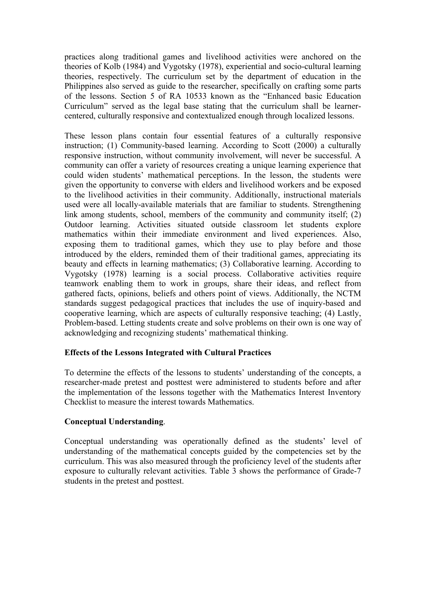practices along traditional games and livelihood activities were anchored on the theories of Kolb (1984) and Vygotsky (1978), experiential and socio-cultural learning theories, respectively. The curriculum set by the department of education in the Philippines also served as guide to the researcher, specifically on crafting some parts of the lessons. Section 5 of RA 10533 known as the "Enhanced basic Education Curriculum" served as the legal base stating that the curriculum shall be learnercentered, culturally responsive and contextualized enough through localized lessons.

These lesson plans contain four essential features of a culturally responsive instruction; (1) Community-based learning. According to Scott (2000) a culturally responsive instruction, without community involvement, will never be successful. A community can offer a variety of resources creating a unique learning experience that could widen students' mathematical perceptions. In the lesson, the students were given the opportunity to converse with elders and livelihood workers and be exposed to the livelihood activities in their community. Additionally, instructional materials used were all locally-available materials that are familiar to students. Strengthening link among students, school, members of the community and community itself; (2) Outdoor learning. Activities situated outside classroom let students explore mathematics within their immediate environment and lived experiences. Also, exposing them to traditional games, which they use to play before and those introduced by the elders, reminded them of their traditional games, appreciating its beauty and effects in learning mathematics; (3) Collaborative learning. According to Vygotsky (1978) learning is a social process. Collaborative activities require teamwork enabling them to work in groups, share their ideas, and reflect from gathered facts, opinions, beliefs and others point of views. Additionally, the NCTM standards suggest pedagogical practices that includes the use of inquiry-based and cooperative learning, which are aspects of culturally responsive teaching; (4) Lastly, Problem-based. Letting students create and solve problems on their own is one way of acknowledging and recognizing students' mathematical thinking.

## **Effects of the Lessons Integrated with Cultural Practices**

To determine the effects of the lessons to students' understanding of the concepts, a researcher-made pretest and posttest were administered to students before and after the implementation of the lessons together with the Mathematics Interest Inventory Checklist to measure the interest towards Mathematics.

## **Conceptual Understanding**.

Conceptual understanding was operationally defined as the students' level of understanding of the mathematical concepts guided by the competencies set by the curriculum. This was also measured through the proficiency level of the students after exposure to culturally relevant activities. Table 3 shows the performance of Grade-7 students in the pretest and posttest.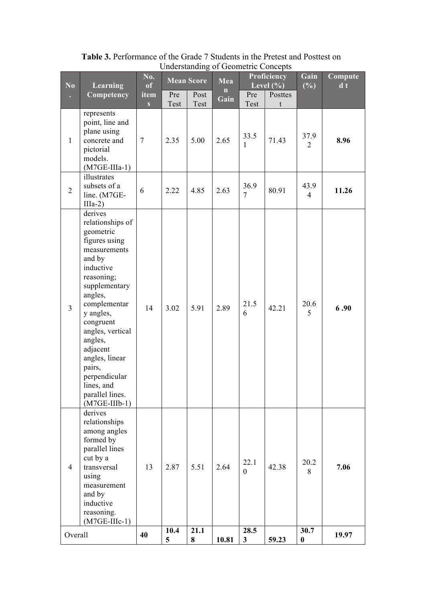| No<br><b>Learning</b> |                                                                                                                                                                                                                                                                                                                                  | No.<br>of      |             | <b>Mean Score</b> | ັ້<br>Mea |                      | $\sim$ 0 $\mu$ 0 $\mu$ 0 $\sim$<br><b>Proficiency</b><br>Level $(\% )$ | Gain<br>(%)              | Compute<br>$\mathbf{d}$ t |
|-----------------------|----------------------------------------------------------------------------------------------------------------------------------------------------------------------------------------------------------------------------------------------------------------------------------------------------------------------------------|----------------|-------------|-------------------|-----------|----------------------|------------------------------------------------------------------------|--------------------------|---------------------------|
|                       | Competency                                                                                                                                                                                                                                                                                                                       | item<br>S      | Pre<br>Test | Post<br>Test      | n<br>Gain | Pre<br>Test          | Posttes<br>t                                                           |                          |                           |
| $\mathbf{1}$          | represents<br>point, line and<br>plane using<br>concrete and<br>pictorial<br>models.<br>$(M7GE-IIIa-1)$                                                                                                                                                                                                                          | $\overline{7}$ | 2.35        | 5.00              | 2.65      | 33.5<br>1            | 71.43                                                                  | 37.9<br>2                | 8.96                      |
| $\overline{2}$        | illustrates<br>subsets of a<br>line. (M7GE-<br>$IIIa-2)$                                                                                                                                                                                                                                                                         | 6              | 2.22        | 4.85              | 2.63      | 36.9<br>7            | 80.91                                                                  | 43.9<br>4                | 11.26                     |
| $\overline{3}$        | derives<br>relationships of<br>geometric<br>figures using<br>measurements<br>and by<br>inductive<br>reasoning;<br>supplementary<br>angles,<br>complementar<br>y angles,<br>congruent<br>angles, vertical<br>angles,<br>adjacent<br>angles, linear<br>pairs,<br>perpendicular<br>lines, and<br>parallel lines.<br>$(M7GE-IIIb-1)$ | 14             | 3.02        | 5.91              | 2.89      | 21.5<br>6            | 42.21                                                                  | 20.6<br>5                | 6.90                      |
| $\overline{4}$        | derives<br>relationships<br>among angles<br>formed by<br>parallel lines<br>cut by a<br>transversal<br>using<br>measurement<br>and by<br>inductive<br>reasoning.<br>$(M7GE-IIIc-1)$                                                                                                                                               | 13             | 2.87        | 5.51              | 2.64      | 22.1<br>$\theta$     | 42.38                                                                  | 20.2<br>8                | 7.06                      |
| Overall               |                                                                                                                                                                                                                                                                                                                                  | 40             | 10.4<br>5   | 21.1<br>8         | 10.81     | 28.5<br>$\mathbf{3}$ | 59.23                                                                  | 30.7<br>$\boldsymbol{0}$ | 19.97                     |

**Table 3.** Performance of the Grade 7 Students in the Pretest and Posttest on Understanding of Geometric Concepts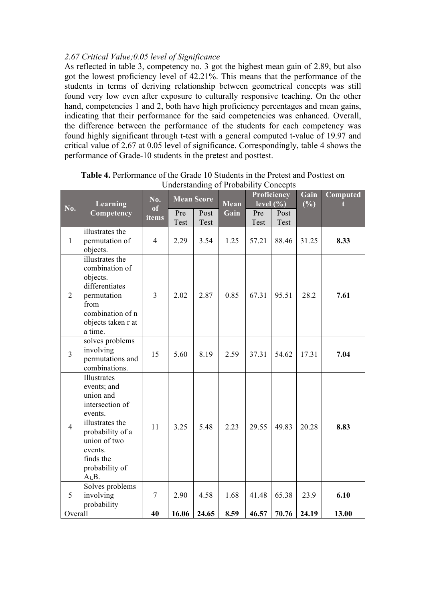#### *2.67 Critical Value;0.05 level of Significance*

As reflected in table 3, competency no. 3 got the highest mean gain of 2.89, but also got the lowest proficiency level of 42.21%. This means that the performance of the students in terms of deriving relationship between geometrical concepts was still found very low even after exposure to culturally responsive teaching. On the other hand, competencies 1 and 2, both have high proficiency percentages and mean gains, indicating that their performance for the said competencies was enhanced. Overall, the difference between the performance of the students for each competency was found highly significant through t-test with a general computed t-value of 19.97 and critical value of 2.67 at 0.05 level of significance. Correspondingly, table 4 shows the performance of Grade-10 students in the pretest and posttest.

|                | Learning                                                                                                                                                                       | No.                  | <b>Mean Score</b> |               | <b>Mean</b>  | Proficiency<br>level $(\% )$ |                | Gain<br>(%)   | Computed<br>f |
|----------------|--------------------------------------------------------------------------------------------------------------------------------------------------------------------------------|----------------------|-------------------|---------------|--------------|------------------------------|----------------|---------------|---------------|
| No.            | Competency                                                                                                                                                                     | of<br>items          | Pre<br>Test       | Post<br>Test  | Gain         | Pre<br>Test                  | Post<br>Test   |               |               |
| $\mathbf{1}$   | illustrates the<br>permutation of<br>objects.                                                                                                                                  | $\overline{4}$       | 2.29              | 3.54          | 1.25         | 57.21                        | 88.46          | 31.25         | 8.33          |
| $\overline{2}$ | illustrates the<br>combination of<br>objects.<br>differentiates<br>permutation<br>from<br>combination of n<br>objects taken r at<br>a time.                                    | $\overline{3}$       | 2.02              | 2.87          | 0.85         | 67.31                        | 95.51          | 28.2          | 7.61          |
| $\overline{3}$ | solves problems<br>involving<br>permutations and<br>combinations.                                                                                                              | 15                   | 5.60              | 8.19          | 2.59         | 37.31                        | 54.62          | 17.31         | 7.04          |
| $\overline{4}$ | Illustrates<br>events; and<br>union and<br>intersection of<br>events.<br>illustrates the<br>probability of a<br>union of two<br>events.<br>finds the<br>probability of<br>AuB. | 11                   | 3.25              | 5.48          | 2.23         | 29.55                        | 49.83          | 20.28         | 8.83          |
| 5              | Solves problems<br>involving<br>probability                                                                                                                                    | $\overline{7}$<br>40 | 2.90<br>16.06     | 4.58<br>24.65 | 1.68<br>8.59 | 41.48<br>46.57               | 65.38<br>70.76 | 23.9<br>24.19 | 6.10<br>13.00 |
| Overall        |                                                                                                                                                                                |                      |                   |               |              |                              |                |               |               |

**Table 4.** Performance of the Grade 10 Students in the Pretest and Posttest on Understanding of Probability Concepts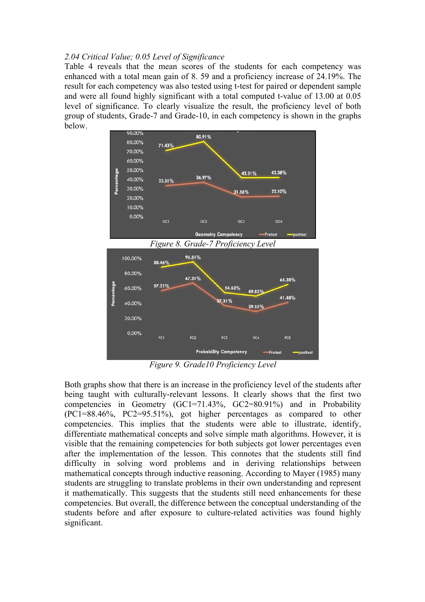#### *2.04 Critical Value; 0.05 Level of Significance*

Table 4 reveals that the mean scores of the students for each competency was enhanced with a total mean gain of 8. 59 and a proficiency increase of 24.19%. The result for each competency was also tested using t-test for paired or dependent sample and were all found highly significant with a total computed t-value of 13.00 at 0.05 level of significance. To clearly visualize the result, the proficiency level of both group of students, Grade-7 and Grade-10, in each competency is shown in the graphs below.



*Figure 9. Grade10 Proficiency Level*

Both graphs show that there is an increase in the proficiency level of the students after being taught with culturally-relevant lessons. It clearly shows that the first two competencies in Geometry (GC1=71.43%, GC2=80.91%) and in Probability (PC1=88.46%, PC2=95.51%), got higher percentages as compared to other competencies. This implies that the students were able to illustrate, identify, differentiate mathematical concepts and solve simple math algorithms. However, it is visible that the remaining competencies for both subjects got lower percentages even after the implementation of the lesson. This connotes that the students still find difficulty in solving word problems and in deriving relationships between mathematical concepts through inductive reasoning. According to Mayer (1985) many students are struggling to translate problems in their own understanding and represent it mathematically. This suggests that the students still need enhancements for these competencies. But overall, the difference between the conceptual understanding of the students before and after exposure to culture-related activities was found highly significant.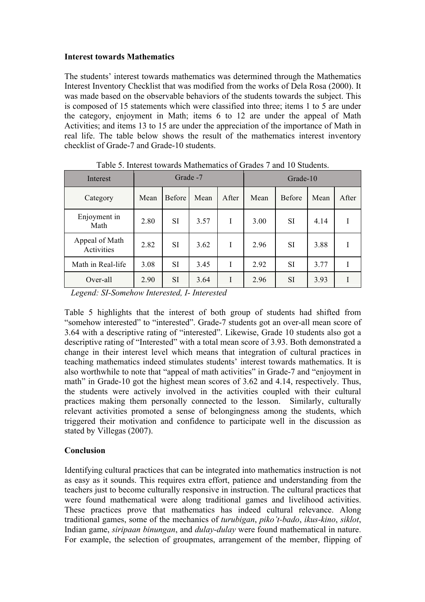#### **Interest towards Mathematics**

The students' interest towards mathematics was determined through the Mathematics Interest Inventory Checklist that was modified from the works of Dela Rosa (2000). It was made based on the observable behaviors of the students towards the subject. This is composed of 15 statements which were classified into three; items 1 to 5 are under the category, enjoyment in Math; items 6 to 12 are under the appeal of Math Activities; and items 13 to 15 are under the appreciation of the importance of Math in real life. The table below shows the result of the mathematics interest inventory checklist of Grade-7 and Grade-10 students.

| Interest                     | Grade -7 |               |      |       | Grade-10 |               |      |       |
|------------------------------|----------|---------------|------|-------|----------|---------------|------|-------|
| Category                     | Mean     | <b>Before</b> | Mean | After | Mean     | <b>Before</b> | Mean | After |
| Enjoyment in<br>Math         | 2.80     | <b>SI</b>     | 3.57 | I     | 3.00     | <b>SI</b>     | 4.14 |       |
| Appeal of Math<br>Activities | 2.82     | SI            | 3.62 | I     | 2.96     | <b>SI</b>     | 3.88 |       |
| Math in Real-life            | 3.08     | SI            | 3.45 | L     | 2.92     | <b>SI</b>     | 3.77 |       |
| Over-all                     | 2.90     | <b>SI</b>     | 3.64 | I     | 2.96     | <b>SI</b>     | 3.93 |       |

Table 5. Interest towards Mathematics of Grades 7 and 10 Students.

*Legend: SI-Somehow Interested, I- Interested*

Table 5 highlights that the interest of both group of students had shifted from "somehow interested" to "interested". Grade-7 students got an over-all mean score of 3.64 with a descriptive rating of "interested". Likewise, Grade 10 students also got a descriptive rating of "Interested" with a total mean score of 3.93. Both demonstrated a change in their interest level which means that integration of cultural practices in teaching mathematics indeed stimulates students' interest towards mathematics. It is also worthwhile to note that "appeal of math activities" in Grade-7 and "enjoyment in math" in Grade-10 got the highest mean scores of 3.62 and 4.14, respectively. Thus, the students were actively involved in the activities coupled with their cultural practices making them personally connected to the lesson. Similarly, culturally relevant activities promoted a sense of belongingness among the students, which triggered their motivation and confidence to participate well in the discussion as stated by Villegas (2007).

## **Conclusion**

Identifying cultural practices that can be integrated into mathematics instruction is not as easy as it sounds. This requires extra effort, patience and understanding from the teachers just to become culturally responsive in instruction. The cultural practices that were found mathematical were along traditional games and livelihood activities. These practices prove that mathematics has indeed cultural relevance. Along traditional games, some of the mechanics of *turubigan*, *piko't-bado*, *ikus*-*kino*, *siklot*, Indian game, *siripaan binungan*, and *dulay-dulay* were found mathematical in nature. For example, the selection of groupmates, arrangement of the member, flipping of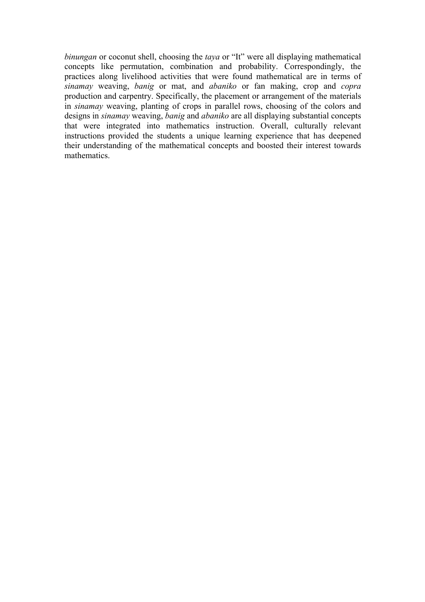*binungan* or coconut shell, choosing the *taya* or "It" were all displaying mathematical concepts like permutation, combination and probability. Correspondingly, the practices along livelihood activities that were found mathematical are in terms of *sinamay* weaving, *banig* or mat, and *abaniko* or fan making, crop and *copra* production and carpentry. Specifically, the placement or arrangement of the materials in *sinamay* weaving, planting of crops in parallel rows, choosing of the colors and designs in *sinamay* weaving, *banig* and *abaniko* are all displaying substantial concepts that were integrated into mathematics instruction. Overall, culturally relevant instructions provided the students a unique learning experience that has deepened their understanding of the mathematical concepts and boosted their interest towards mathematics.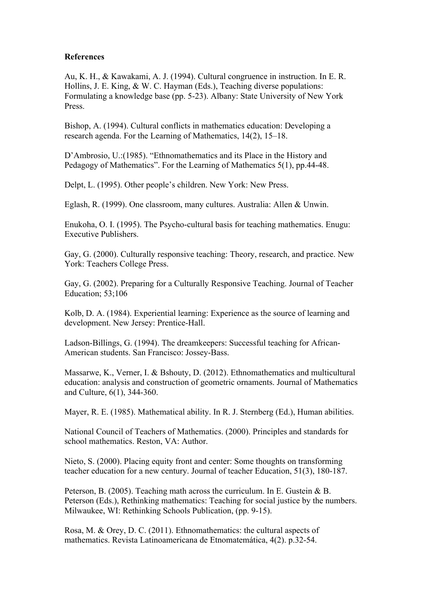#### **References**

Au, K. H., & Kawakami, A. J. (1994). Cultural congruence in instruction. In E. R. Hollins, J. E. King, & W. C. Hayman (Eds.), Teaching diverse populations: Formulating a knowledge base (pp. 5-23). Albany: State University of New York Press.

Bishop, A. (1994). Cultural conflicts in mathematics education: Developing a research agenda. For the Learning of Mathematics, 14(2), 15–18.

D'Ambrosio, U.:(1985). "Ethnomathematics and its Place in the History and Pedagogy of Mathematics". For the Learning of Mathematics 5(1), pp.44-48.

Delpt, L. (1995). Other people's children. New York: New Press.

Eglash, R. (1999). One classroom, many cultures. Australia: Allen & Unwin.

Enukoha, O. I. (1995). The Psycho-cultural basis for teaching mathematics. Enugu: Executive Publishers.

Gay, G. (2000). Culturally responsive teaching: Theory, research, and practice. New York: Teachers College Press.

Gay, G. (2002). Preparing for a Culturally Responsive Teaching. Journal of Teacher Education; 53;106

Kolb, D. A. (1984). Experiential learning: Experience as the source of learning and development. New Jersey: Prentice-Hall.

Ladson-Billings, G. (1994). The dreamkeepers: Successful teaching for African-American students. San Francisco: Jossey-Bass.

Massarwe, K., Verner, I. & Bshouty, D. (2012). Ethnomathematics and multicultural education: analysis and construction of geometric ornaments. Journal of Mathematics and Culture, 6(1), 344-360.

Mayer, R. E. (1985). Mathematical ability. In R. J. Sternberg (Ed.), Human abilities.

National Council of Teachers of Mathematics. (2000). Principles and standards for school mathematics. Reston, VA: Author.

Nieto, S. (2000). Placing equity front and center: Some thoughts on transforming teacher education for a new century. Journal of teacher Education, 51(3), 180-187.

Peterson, B. (2005). Teaching math across the curriculum. In E. Gustein & B. Peterson (Eds.), Rethinking mathematics: Teaching for social justice by the numbers. Milwaukee, WI: Rethinking Schools Publication, (pp. 9-15).

Rosa, M. & Orey, D. C. (2011). Ethnomathematics: the cultural aspects of mathematics. Revista Latinoamericana de Etnomatemática, 4(2). p.32-54.